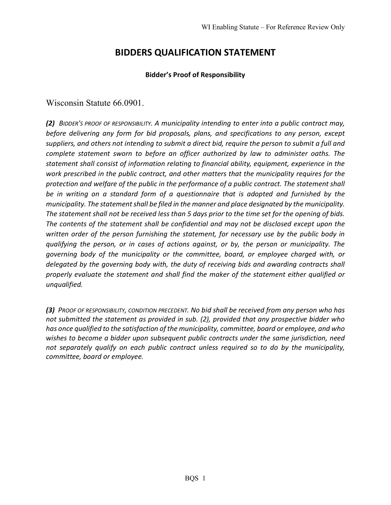# **BIDDERS QUALIFICATION STATEMENT**

### **Bidder's Proof of Responsibility**

Wisconsin Statute 66.0901.

*(2) BIDDER'S PROOF OF RESPONSIBILITY. A municipality intending to enter into a public contract may, before delivering any form for bid proposals, plans, and specifications to any person, except suppliers, and others not intending to submit a direct bid, require the person to submit a full and complete statement sworn to before an officer authorized by law to administer oaths. The statement shall consist of information relating to financial ability, equipment, experience in the work prescribed in the public contract, and other matters that the municipality requires for the protection and welfare of the public in the performance of a public contract. The statement shall be in writing on a standard form of a questionnaire that is adopted and furnished by the municipality. The statement shall be filed in the manner and place designated by the municipality. The statement shall not be received less than 5 days prior to the time set for the opening of bids. The contents of the statement shall be confidential and may not be disclosed except upon the written order of the person furnishing the statement, for necessary use by the public body in qualifying the person, or in cases of actions against, or by, the person or municipality. The governing body of the municipality or the committee, board, or employee charged with, or delegated by the governing body with, the duty of receiving bids and awarding contracts shall properly evaluate the statement and shall find the maker of the statement either qualified or unqualified.*

*(3) PROOF OF RESPONSIBILITY, CONDITION PRECEDENT. No bid shall be received from any person who has not submitted the statement as provided in sub. [\(2\),](https://docs.legis.wisconsin.gov/document/statutes/66.0901(2)) provided that any prospective bidder who has once qualified to the satisfaction of the municipality, committee, board or employee, and who wishes to become a bidder upon subsequent public contracts under the same jurisdiction, need not separately qualify on each public contract unless required so to do by the municipality, committee, board or employee.*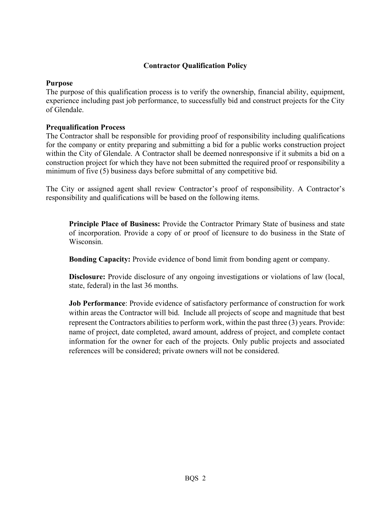# **Contractor Qualification Policy**

### **Purpose**

The purpose of this qualification process is to verify the ownership, financial ability, equipment, experience including past job performance, to successfully bid and construct projects for the City of Glendale.

## **Prequalification Process**

The Contractor shall be responsible for providing proof of responsibility including qualifications for the company or entity preparing and submitting a bid for a public works construction project within the City of Glendale. A Contractor shall be deemed nonresponsive if it submits a bid on a construction project for which they have not been submitted the required proof or responsibility a minimum of five (5) business days before submittal of any competitive bid.

The City or assigned agent shall review Contractor's proof of responsibility. A Contractor's responsibility and qualifications will be based on the following items.

**Principle Place of Business:** Provide the Contractor Primary State of business and state of incorporation. Provide a copy of or proof of licensure to do business in the State of Wisconsin.

**Bonding Capacity:** Provide evidence of bond limit from bonding agent or company.

**Disclosure:** Provide disclosure of any ongoing investigations or violations of law (local, state, federal) in the last 36 months.

**Job Performance**: Provide evidence of satisfactory performance of construction for work within areas the Contractor will bid. Include all projects of scope and magnitude that best represent the Contractors abilities to perform work, within the past three (3) years. Provide: name of project, date completed, award amount, address of project, and complete contact information for the owner for each of the projects. Only public projects and associated references will be considered; private owners will not be considered.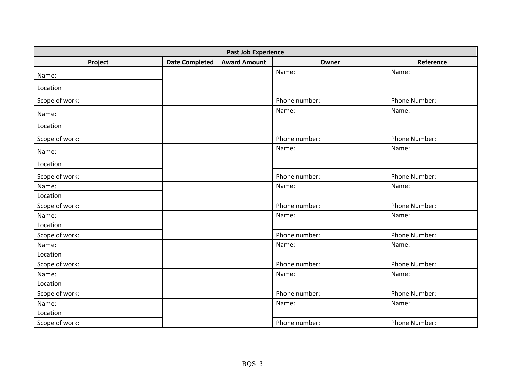| <b>Past Job Experience</b> |                       |                     |               |               |
|----------------------------|-----------------------|---------------------|---------------|---------------|
| Project                    | <b>Date Completed</b> | <b>Award Amount</b> | Owner         | Reference     |
| Name:                      |                       |                     | Name:         | Name:         |
| Location                   |                       |                     |               |               |
| Scope of work:             |                       |                     | Phone number: | Phone Number: |
| Name:                      |                       |                     | Name:         | Name:         |
| Location                   |                       |                     |               |               |
| Scope of work:             |                       |                     | Phone number: | Phone Number: |
| Name:                      |                       |                     | Name:         | Name:         |
| Location                   |                       |                     |               |               |
|                            |                       |                     |               |               |
| Scope of work:             |                       |                     | Phone number: | Phone Number: |
| Name:                      |                       |                     | Name:         | Name:         |
| Location                   |                       |                     |               |               |
| Scope of work:             |                       |                     | Phone number: | Phone Number: |
| Name:                      |                       |                     | Name:         | Name:         |
| Location                   |                       |                     |               |               |
| Scope of work:             |                       |                     | Phone number: | Phone Number: |
| Name:                      |                       |                     | Name:         | Name:         |
| Location                   |                       |                     |               |               |
| Scope of work:             |                       |                     | Phone number: | Phone Number: |
| Name:                      |                       |                     | Name:         | Name:         |
| Location                   |                       |                     |               |               |
| Scope of work:             |                       |                     | Phone number: | Phone Number: |
| Name:                      |                       |                     | Name:         | Name:         |
| Location                   |                       |                     |               |               |
| Scope of work:             |                       |                     | Phone number: | Phone Number: |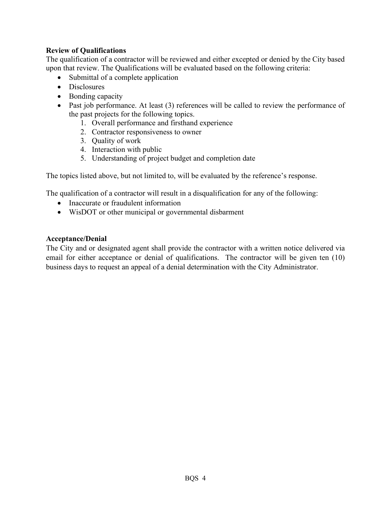## **Review of Qualifications**

The qualification of a contractor will be reviewed and either excepted or denied by the City based upon that review. The Qualifications will be evaluated based on the following criteria:

- Submittal of a complete application
- Disclosures
- Bonding capacity
- Past job performance. At least (3) references will be called to review the performance of the past projects for the following topics.
	- 1. Overall performance and firsthand experience
	- 2. Contractor responsiveness to owner
	- 3. Quality of work
	- 4. Interaction with public
	- 5. Understanding of project budget and completion date

The topics listed above, but not limited to, will be evaluated by the reference's response.

The qualification of a contractor will result in a disqualification for any of the following:

- Inaccurate or fraudulent information
- WisDOT or other municipal or governmental disbarment

# **Acceptance/Denial**

The City and or designated agent shall provide the contractor with a written notice delivered via email for either acceptance or denial of qualifications. The contractor will be given ten (10) business days to request an appeal of a denial determination with the City Administrator.